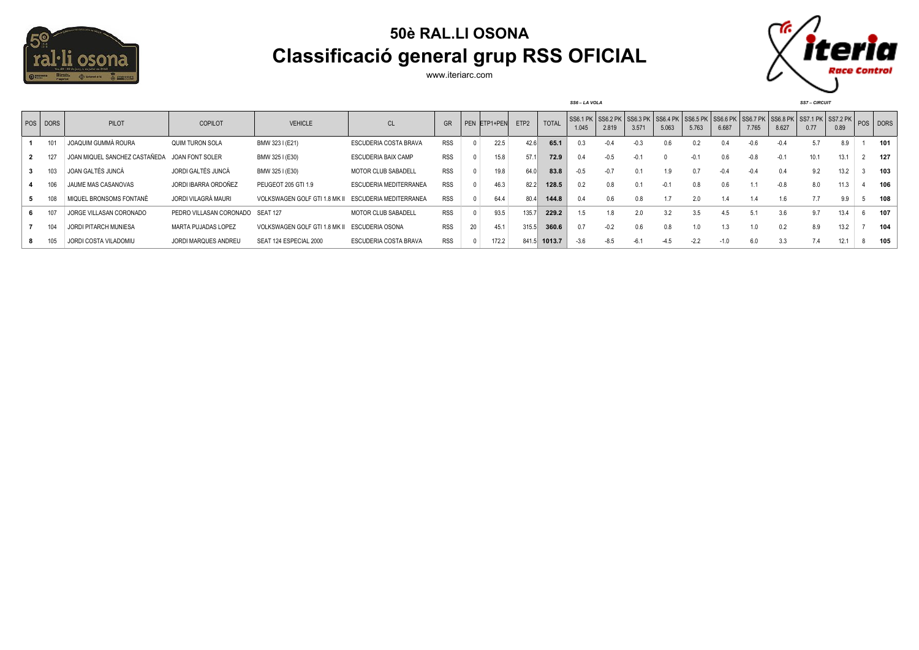

## **50è RAL.LI OSONA Classificació general grup RSS OFICIAL**

www.iteriarc.com



| POS DORS | <b>PILOT</b>                  | <b>COPILOT</b>                   | <b>VEHICLE</b>                                | CL                           | GR         |    | PEN ETP1+PEN | ETP <sub>2</sub> | <b>TOTAL</b> | SS6.1 PK SS6.2 PK SS6.3 PK SS6.4 PK SS6.5 PK SS6.6 PK SS6.7 PK SS6.8 PK SS7.1 PK SS7.2 PK POS DORS<br>1.045 | 2.819  | 3.57' | 5.063  | 5.763  | 6.687  | 7.765  | 8.627  | 0.77 | 0.89 |     |
|----------|-------------------------------|----------------------------------|-----------------------------------------------|------------------------------|------------|----|--------------|------------------|--------------|-------------------------------------------------------------------------------------------------------------|--------|-------|--------|--------|--------|--------|--------|------|------|-----|
| 101      | JOAQUIM GUMMÀ ROURA           | QUIM TURON SOLA                  | BMW 323 I (E21)                               | <b>ESCUDERIA COSTA BRAVA</b> | <b>RSS</b> |    | 22.5         | 42.6             | 65.1         |                                                                                                             | $-0.4$ |       | 0.6    | 0.2    | 0.4    | $-0.6$ | $-0.4$ | 5.7  | 8.9  | 101 |
|          | JOAN MIQUEL SANCHEZ CASTAÑEDA | JOAN FONT SOLER                  | BMW 325 I (E30)                               | <b>ESCUDERIA BAIX CAMP</b>   | <b>RSS</b> |    | 15.8         | 57.1             | 72.9         | 0.4                                                                                                         | $-0.5$ | -0 1  |        |        | 0.6    | $-0.8$ | $-0.1$ | 10.1 | 13.1 | 127 |
|          | JOAN GALTÉS JUNCÁ             | JORDI GALTÉS JUNCÁ               | BMW 325 I (E30)                               | MOTOR CLUB SABADELL          | <b>RSS</b> |    | 19.8         | 64.0             | 83.8         | $-0.5$                                                                                                      | $-0.7$ |       | 1.9    | 0.7    | $-0.4$ | $-0.4$ | 0.4    | 9.2  | 13.2 | 103 |
| 106      | JAUME MAS CASANOVAS           | JORDI IBARRA ORDOÑEZ             | PEUGEOT 205 GTI 1.9                           | ESCUDERIA MEDITERRANEA       | <b>RSS</b> |    | 46.3         | 82.2             | 128.5        | 0.2                                                                                                         | 0.8    |       | $-0.1$ | 0.8    | 0.6    | 1.1    | $-0.8$ | 8.0  | 11.3 | 106 |
|          | MIQUEL BRONSOMS FONTANÈ       | JORDI VILAGRÀ MAURI              | VOLKSWAGEN GOLF GTI 1.8 MK II                 | ESCUDERIA MEDITERRANEA       | <b>RSS</b> |    | 64.4         | 80.4             | 144.8        | 0.4                                                                                                         | 0.6    |       |        | 2.0    |        | 1.4    | 1.6    |      | 9.9  | 108 |
|          | JORGE VILLASAN CORONADO       | PEDRO VILLASAN CORONADO SEAT 127 |                                               | <b>MOTOR CLUB SABADELL</b>   | <b>RSS</b> |    | 93.5         | 135.7            | 229.2        | 1.5                                                                                                         | 1.8    | 2.0   | 3.2    | 3.5    | 4.5    | 5.1    | 3.6    | 9.7  | 13.4 | 107 |
|          | JORDI PITARCH MUNIESA         | MARTA PUJADAS LOPEZ              | VOLKSWAGEN GOLF GTI 1.8 MK II ESCUDERIA OSONA |                              | <b>RSS</b> | 20 | 45.1         | 315.5            | 360.6        | 0.7                                                                                                         | $-0.2$ | 0.6   | 0.8    | 1.0    | 1.3    | 1.0    | 0.2    | 8.9  | 13.2 | 104 |
|          | JORDI COSTA VILADOMIU         | JORDI MARQUES ANDREU             | SEAT 124 ESPECIAL 2000                        | <b>ESCUDERIA COSTA BRAVA</b> | <b>RSS</b> |    | 172.2        | 841.5            | 1013.7       | $-3.6$                                                                                                      | $-8.5$ | -6 1  |        | $-2.2$ |        | 6.0    | 3.3    | 7.4  | 12.1 | 105 |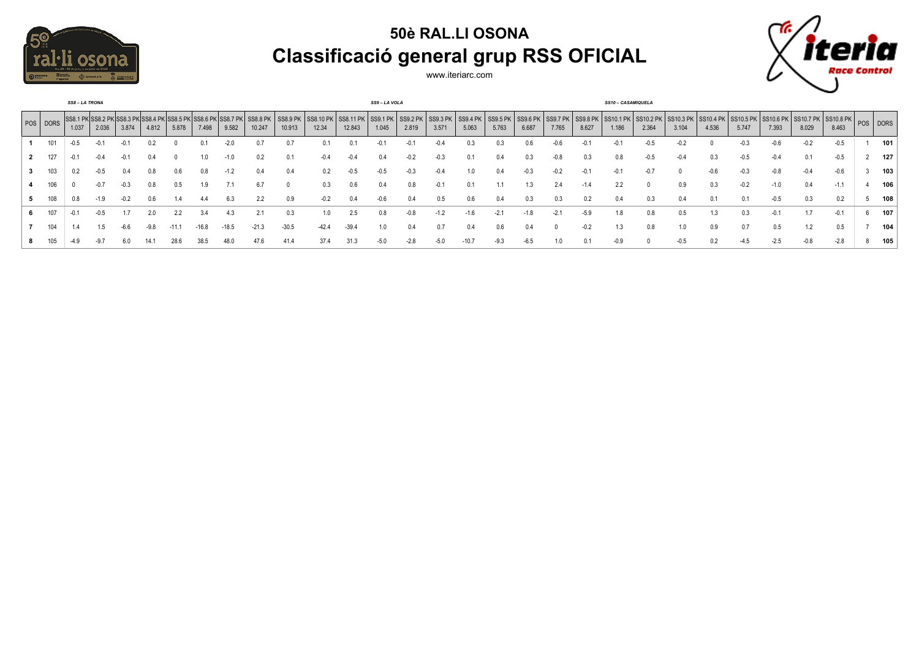

## **50è RAL.LI OSONA Classificació general grup RSS OFICIAL**



www.iteriarc.com

|    |            | <b>SS8-LA TRONA</b> |       |       |        |                                                       |         |                            |                    |                    |                    |                                       | SS9-LA VOLA |        |                       |                            |        |                       |                       |        | <b>SS10 - CASAMIQUELA</b>             |        |        |       |        |        |       |                                                                               |     |
|----|------------|---------------------|-------|-------|--------|-------------------------------------------------------|---------|----------------------------|--------------------|--------------------|--------------------|---------------------------------------|-------------|--------|-----------------------|----------------------------|--------|-----------------------|-----------------------|--------|---------------------------------------|--------|--------|-------|--------|--------|-------|-------------------------------------------------------------------------------|-----|
|    | POS   DORS | 1.037               | 2.036 | 3.874 | 4.812  | SS8.1 PK SS8.2 PK SS8.3 PK SS8.4 PK SS8.5 PK<br>5.878 | 7.498   | SS8.6 PK SS8.7 PK<br>9.582 | SS8.8 PK<br>10.247 | SS8.9 PK<br>10.913 | SS8.10 PK<br>12.34 | SS8.11 PK SS9.1 PK SS9.2 PK<br>12.843 | 1.045       | 2.819  | $ $ SS9.3 PK<br>3.571 | SS9.4 PK SS9.5 PK<br>5.063 | 5.763  | $ $ SS9.6 PK<br>6.687 | $ $ SS9.7 PK<br>7.765 | 8.627  | SS9.8 PK SS10.1 PK SS10.2 PK<br>1.186 | 2.364  | 3.104  | 4.536 | 5.747  | 7.393  | 8.029 | SS10.3 PK SS10.4 PK SS10.5 PK SS10.6 PK SS10.7 PK SS10.8 PK POS DORS<br>8.463 |     |
|    | 101        | $-0.5$              |       |       |        |                                                       | 0.      | $-2.0$                     | 0.7                |                    |                    | 0.                                    |             |        | $-0.4$                | 0.3                        | 0.3    | 0.6                   |                       |        |                                       |        |        |       | $-0.3$ | $-0.6$ |       | $-0.5$                                                                        | 101 |
|    |            |                     | -0.4  | -v. i |        |                                                       | 1.0     | $-1.0$                     | 0.2                |                    | -0.4               | $-0.4$                                | 0.4         |        | $-0.3$                | 0.1                        | 0.4    | 0.3                   | $-0.8$                | 0.3    | 0.8                                   | -0.5   | $-0.4$ | 0.3   | $-0.5$ | $-0.4$ |       | $-0.5$                                                                        | 127 |
|    | 103        | 0.2                 |       |       |        | 0.6                                                   | 0.8     | -1.2                       | 0.4                | 0.4                | 0.2                | $-0.5$                                | $-0.5$      | $-0.3$ | $-0.4$                | 1.0                        | 0.4    | $-0.3$                | $-0.2$                | $-0.1$ |                                       | $-0$ . |        |       | $-0.3$ | -0.8   |       | $-0.6$                                                                        | 103 |
|    | 106        |                     | -0.7  |       | 0.8    | 0.5                                                   | 1.9     | 7.1                        | 6.7                |                    | 0.3                | 0.6                                   | 0.4         | 0.8    | $-0.1$                | 0.1                        |        | 1.3                   | 2.4                   | $-1.4$ | 2.2                                   |        | 0.9    | 0.3   | $-0.2$ | $-1.0$ |       | $-1.1$                                                                        | 106 |
|    |            |                     |       |       | 0.6    |                                                       |         |                            |                    | 0.9                |                    |                                       |             |        |                       | 0.6                        | 0.4    | 0.3                   |                       |        |                                       |        | 0.4    |       |        | $-0.5$ |       | 0.2                                                                           | 108 |
| 6. | 107        |                     | -0.5  |       | 2.0    | 2.2                                                   | 3.4     | 4.3                        | 2.1                |                    | 1.0                | 2.5                                   | 0.8         | $-0.8$ | $-1.2$                | $-1.6$                     | $-2.1$ | -1.8                  | $-2.1$                | $-5.9$ | 1.8                                   |        | 0.5    | 1.3   | 0.3    | $-0.1$ |       | $-0.1$                                                                        | 107 |
|    | 104        |                     |       |       | $-9.8$ | $-11.1$                                               | $-16.8$ | 18.5                       | $-21.3$            | $-30.5$            | $-42.4$            | $-39.4$                               | 1.0         | 0.4    |                       | 0.4                        | 0.6    | 0.4                   |                       | $-0.2$ | 1.3                                   |        |        | 0.9   | 0.7    | 0.5    |       | 0.5                                                                           | 104 |
|    |            |                     |       |       |        | 28.6                                                  | 38.5    |                            | 47.6               | 41.4               |                    | 31.3                                  | $-5.0$      | -2.0   | -5.U                  |                            | $-9.3$ | $-6.5$                |                       |        | -0.9                                  |        | $-0.5$ |       | -4.5   | $-2.5$ |       | $-2.8$                                                                        | 105 |